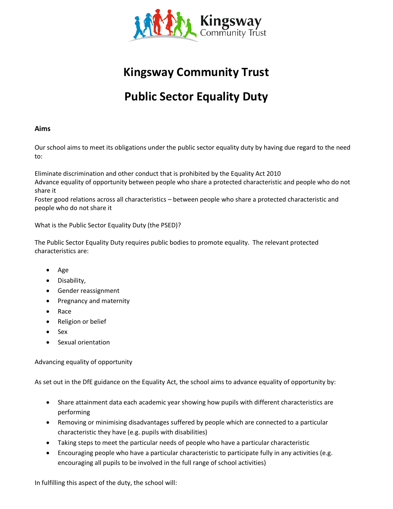

## **Kingsway Community Trust**

# **Public Sector Equality Duty**

#### **Aims**

Our school aims to meet its obligations under the public sector equality duty by having due regard to the need to:

Eliminate discrimination and other conduct that is prohibited by the Equality Act 2010 Advance equality of opportunity between people who share a protected characteristic and people who do not share it

Foster good relations across all characteristics – between people who share a protected characteristic and people who do not share it

What is the Public Sector Equality Duty (the PSED)?

The Public Sector Equality Duty requires public bodies to promote equality. The relevant protected characteristics are:

- Age
- Disability,
- Gender reassignment
- Pregnancy and maternity
- Race
- Religion or belief
- Sex
- Sexual orientation

Advancing equality of opportunity

As set out in the DfE guidance on the Equality Act, the school aims to advance equality of opportunity by:

- Share attainment data each academic year showing how pupils with different characteristics are performing
- Removing or minimising disadvantages suffered by people which are connected to a particular characteristic they have (e.g. pupils with disabilities)
- Taking steps to meet the particular needs of people who have a particular characteristic
- Encouraging people who have a particular characteristic to participate fully in any activities (e.g. encouraging all pupils to be involved in the full range of school activities)

In fulfilling this aspect of the duty, the school will: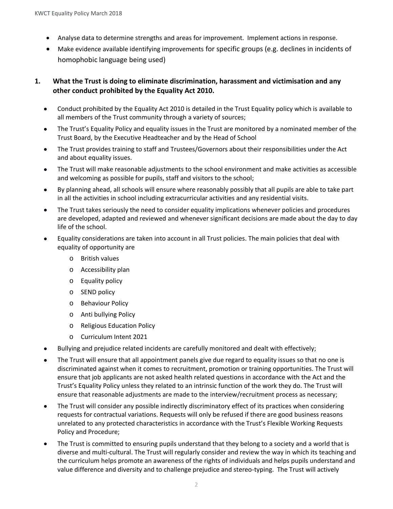- Analyse data to determine strengths and areas for improvement. Implement actions in response.
- Make evidence available identifying improvements for specific groups (e.g. declines in incidents of homophobic language being used)

#### **1. What the Trust is doing to eliminate discrimination, harassment and victimisation and any other conduct prohibited by the Equality Act 2010.**

- Conduct prohibited by the Equality Act 2010 is detailed in the Trust Equality policy which is available to all members of the Trust community through a variety of sources;
- The Trust's Equality Policy and equality issues in the Trust are monitored by a nominated member of the Trust Board, by the Executive Headteacher and by the Head of School
- The Trust provides training to staff and Trustees/Governors about their responsibilities under the Act and about equality issues.
- The Trust will make reasonable adjustments to the school environment and make activities as accessible and welcoming as possible for pupils, staff and visitors to the school;
- By planning ahead, all schools will ensure where reasonably possibly that all pupils are able to take part in all the activities in school including extracurricular activities and any residential visits.
- The Trust takes seriously the need to consider equality implications whenever policies and procedures are developed, adapted and reviewed and whenever significant decisions are made about the day to day life of the school.
- Equality considerations are taken into account in all Trust policies. The main policies that deal with equality of opportunity are
	- o British values
	- o Accessibility plan
	- o Equality policy
	- o SEND policy
	- o Behaviour Policy
	- o Anti bullying Policy
	- o Religious Education Policy
	- o Curriculum Intent 2021
- Bullying and prejudice related incidents are carefully monitored and dealt with effectively;
- The Trust will ensure that all appointment panels give due regard to equality issues so that no one is discriminated against when it comes to recruitment, promotion or training opportunities. The Trust will ensure that job applicants are not asked health related questions in accordance with the Act and the Trust's Equality Policy unless they related to an intrinsic function of the work they do. The Trust will ensure that reasonable adjustments are made to the interview/recruitment process as necessary;
- The Trust will consider any possible indirectly discriminatory effect of its practices when considering requests for contractual variations. Requests will only be refused if there are good business reasons unrelated to any protected characteristics in accordance with the Trust's Flexible Working Requests Policy and Procedure;
- The Trust is committed to ensuring pupils understand that they belong to a society and a world that is diverse and multi-cultural. The Trust will regularly consider and review the way in which its teaching and the curriculum helps promote an awareness of the rights of individuals and helps pupils understand and value difference and diversity and to challenge prejudice and stereo-typing. The Trust will actively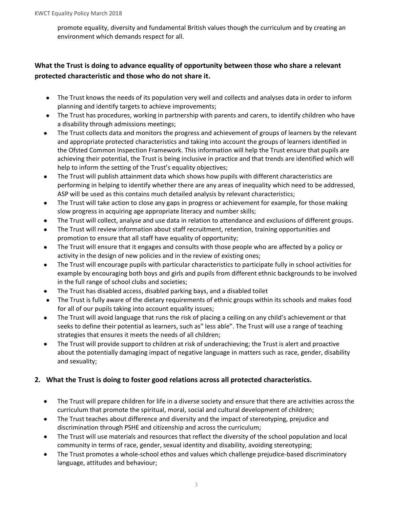promote equality, diversity and fundamental British values though the curriculum and by creating an environment which demands respect for all.

### **What the Trust is doing to advance equality of opportunity between those who share a relevant protected characteristic and those who do not share it.**

- The Trust knows the needs of its population very well and collects and analyses data in order to inform planning and identify targets to achieve improvements;
- The Trust has procedures, working in partnership with parents and carers, to identify children who have a disability through admissions meetings;
- The Trust collects data and monitors the progress and achievement of groups of learners by the relevant and appropriate protected characteristics and taking into account the groups of learners identified in the Ofsted Common Inspection Framework. This information will help the Trust ensure that pupils are achieving their potential, the Trust is being inclusive in practice and that trends are identified which will help to inform the setting of the Trust's equality objectives;
- The Trust will publish attainment data which shows how pupils with different characteristics are performing in helping to identify whether there are any areas of inequality which need to be addressed, ASP will be used as this contains much detailed analysis by relevant characteristics;
- The Trust will take action to close any gaps in progress or achievement for example, for those making slow progress in acquiring age appropriate literacy and number skills;
- The Trust will collect, analyse and use data in relation to attendance and exclusions of different groups.
- The Trust will review information about staff recruitment, retention, training opportunities and promotion to ensure that all staff have equality of opportunity;
- The Trust will ensure that it engages and consults with those people who are affected by a policy or activity in the design of new policies and in the review of existing ones;
- The Trust will encourage pupils with particular characteristics to participate fully in school activities for example by encouraging both boys and girls and pupils from different ethnic backgrounds to be involved in the full range of school clubs and societies;
- The Trust has disabled access, disabled parking bays, and a disabled toilet
- The Trust is fully aware of the dietary requirements of ethnic groups within its schools and makes food for all of our pupils taking into account equality issues;
- The Trust will avoid language that runs the risk of placing a ceiling on any child's achievement or that seeks to define their potential as learners, such as" less able". The Trust will use a range of teaching strategies that ensures it meets the needs of all children;
- The Trust will provide support to children at risk of underachieving; the Trust is alert and proactive about the potentially damaging impact of negative language in matters such as race, gender, disability and sexuality;

#### **2. What the Trust is doing to foster good relations across all protected characteristics.**

- The Trust will prepare children for life in a diverse society and ensure that there are activities across the curriculum that promote the spiritual, moral, social and cultural development of children;
- The Trust teaches about difference and diversity and the impact of stereotyping, prejudice and discrimination through PSHE and citizenship and across the curriculum;
- The Trust will use materials and resources that reflect the diversity of the school population and local community in terms of race, gender, sexual identity and disability, avoiding stereotyping;
- The Trust promotes a whole-school ethos and values which challenge prejudice-based discriminatory language, attitudes and behaviour;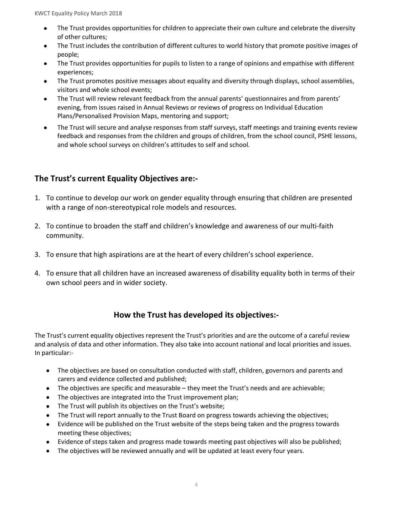- The Trust provides opportunities for children to appreciate their own culture and celebrate the diversity of other cultures;
- The Trust includes the contribution of different cultures to world history that promote positive images of people;
- The Trust provides opportunities for pupils to listen to a range of opinions and empathise with different experiences;
- The Trust promotes positive messages about equality and diversity through displays, school assemblies, visitors and whole school events;
- The Trust will review relevant feedback from the annual parents' questionnaires and from parents' evening, from issues raised in Annual Reviews or reviews of progress on Individual Education Plans/Personalised Provision Maps, mentoring and support;
- The Trust will secure and analyse responses from staff surveys, staff meetings and training events review feedback and responses from the children and groups of children, from the school council, PSHE lessons, and whole school surveys on children's attitudes to self and school.

### **The Trust's current Equality Objectives are:-**

- 1. To continue to develop our work on gender equality through ensuring that children are presented with a range of non-stereotypical role models and resources.
- 2. To continue to broaden the staff and children's knowledge and awareness of our multi-faith community.
- 3. To ensure that high aspirations are at the heart of every children's school experience.
- 4. To ensure that all children have an increased awareness of disability equality both in terms of their own school peers and in wider society.

## **How the Trust has developed its objectives:-**

The Trust's current equality objectives represent the Trust's priorities and are the outcome of a careful review and analysis of data and other information. They also take into account national and local priorities and issues. In particular:-

- The objectives are based on consultation conducted with staff, children, governors and parents and carers and evidence collected and published;
- The objectives are specific and measurable they meet the Trust's needs and are achievable;
- The objectives are integrated into the Trust improvement plan;
- The Trust will publish its objectives on the Trust's website;
- The Trust will report annually to the Trust Board on progress towards achieving the objectives;
- Evidence will be published on the Trust website of the steps being taken and the progress towards meeting these objectives;
- Evidence of steps taken and progress made towards meeting past objectives will also be published;
- The objectives will be reviewed annually and will be updated at least every four years.